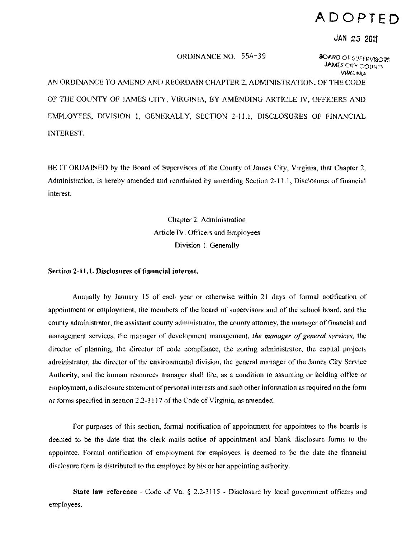## **ADOPTED**

JAN 25 2011

## ORDINANCE NO. 55A-39 8OARD OF SUPERVISORS

**JAMES CITY COUNTY VIRGINIA** 

AN ORDINANCE TO AMEND AND REORDAIN CHAPTER 2, ADMINISTRATION, OF THE CODE OF THE COUNTY OF lAMES CITY, VIRGINIA, BY AMENDING ARTICLE IV, OFFICERS AND EMPLOYEES, DIVISION I, GENERALLY, SECTION 2-11.1, DISCLOSURES OF FINANCIAL INTEREST.

BE IT ORDAINED by the Board of Supervisors of the County of James City, Virginia, that Chapter 2, Administration, is hereby amended and reordained by amending Section 2· 11.1, Disclosures of financial interest.

> Chapter 2. Administration Article IV. Officers and Employees Division l. Generally

Section 2-11.1. Disclosures of financial interest.

Annually by January 15 of each year or otherwise within 21 days of formal notification of appointment or employment, the memhers of the board of supervisors and of the school board, and the county administrator, the assistant county administrator, the county attorney, the manager of financial and management services, the manager of development management, *the manager ofgeneral services.* the director of planning, the director of code compliance, the zoning administrator, the capital projects administrator, the director of the environmental division, the general manager of the lames City Service Authority, and the human resources manager shall file, as a condition to assuming or holding office or employment, a disclosure statement of personal interests and such other information as required on the form or forms specified in section 2.2-3117 of the Code of Virginia, as amended.

For purposes of this section, formal notification of appointment for appointees to the boards is deemed to be the date that the clerk mails notice of appointment and blank disclosure forms to the appointee. Formal notification of employment for employees is deemed to he the date the financial disclosure form is distributed to the employee by his or her appointing authority.

**State law reference** - Code of Va.  $\S$  2.2-3115 - Disclosure by local government officers and employees.